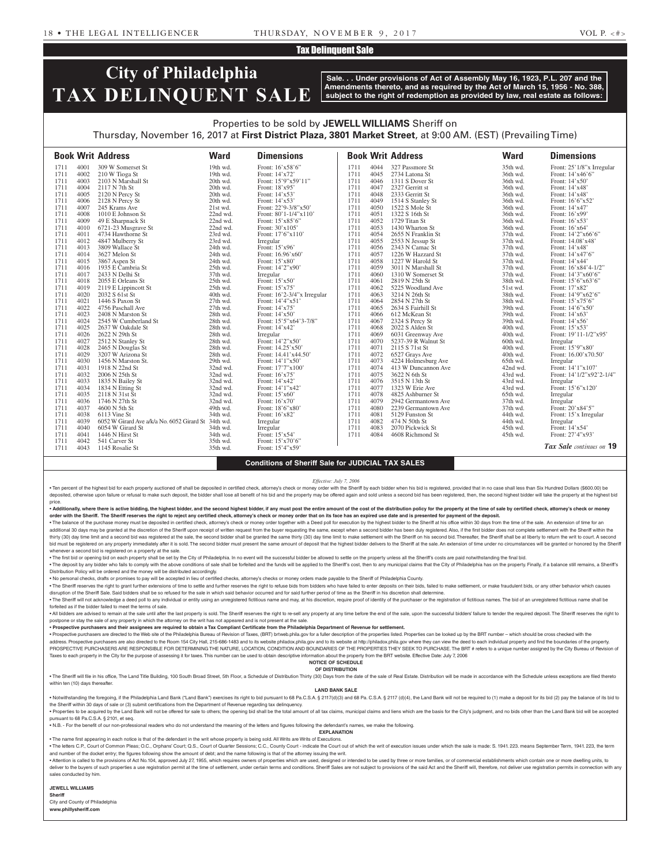# Tax Delinquent Sale

# **City of Philadelphia TAX DELINQUENT SALE**

**Sale. . . Under provisions of Act of Assembly May 16, 1923, P.L. 207 and the Amendments thereto, and as required by the Act of March 15, 1956 - No. 388, subject to the right of redemption as provided by law, real estate as follows:**

# Properties to be sold by **JEWELL WILLIAMS** Sheriff on Thursday, November 16, 2017 at **First District Plaza, 3801 Market Street**, at 9:00 AM. (EST) (Prevailing Time)

|      |              | <b>Book Writ Address</b>                            | <b>Ward</b>          | <b>Dimensions</b>             |              |              | <b>Book Writ Address</b>              | <b>Ward</b> | <b>Dimensions</b>             |
|------|--------------|-----------------------------------------------------|----------------------|-------------------------------|--------------|--------------|---------------------------------------|-------------|-------------------------------|
| 1711 | 4001         | 309 W Somerset St                                   | 19th wd.             | Front: 16'x58'6"              | 1711         | 4044         | 327 Passmore St                       | 35th wd.    | Front: 25'1/8"x Irregular     |
| 1711 | 4002         | 210 W Tioga St                                      | 19th wd.             | Front: 14'x72'                | 1711         | 4045         | 2734 Latona St                        | 36th wd.    | Front: 14'x46'6"              |
| 1711 | 4003         | 2103 N Marshall St                                  | 20th wd.             | Front: 15'9"x59'11"           | 1711         | 4046         | 1311 S Dover St                       | 36th wd.    | Front: 14'x50'                |
| 1711 | 4004         | 2117 N 7th St                                       | 20th wd.             | Front: 18'x95'                | 1711         | 4047         | 2327 Gerritt st                       | 36th wd.    | Front: 14'x48'                |
| 1711 | 4005         | 2120 N Percy St                                     | 20th wd.             | Front: 14'x53'                | 1711         | 4048         | 2333 Gerritt St                       | 36th wd.    | Front: 14'x48'                |
| 1711 | 4006         | 2128 N Percy St                                     | 20th wd.             | Front: 14'x53'                | 1711         | 4049         | 1514 S Stanley St                     | 36th wd.    | Front: 16'6"x52'              |
| 1711 | 4007         | 245 Krams Ave                                       | 21st wd.             | Front: 22'9-3/8"x50'          | 1711         | 4050         | 1522 S Mole St                        | 36th wd.    | Front: 14'x47'                |
| 1711 | 4008         | 1010 E Johnson St                                   | 22nd wd.             | Front: $80'1-1/4''x110'$      | 1711         | 4051         | 1322 S 16th St                        | 36th wd.    | Front: 16'x99'                |
| 1711 | 4009         | 49 E Sharpnack St                                   | 22nd wd.             | Front: 15'x85'6"              | 1711         | 4052         | 1729 Titan St                         | 36th wd.    | Front: $16'x53'$              |
| 1711 | 4010         | 6721-23 Musgrave St                                 | 22nd wd.             | Front: 30'x105'               | 1711         | 4053         | 1430 Wharton St                       | 36th wd.    | Front: $16'x64'$              |
| 1711 | 4011         | 4734 Hawthorne St                                   | 23rd wd.             | Front: 17'6"x110"             | 1711         | 4054         | 2655 N Franklin St                    | 37th wd.    | Front: 14'2"x66'6"            |
| 1711 | 4012         | 4847 Mulberry St                                    | 23rd wd.             | Irregular                     | 1711         | 4055         | 2553 N Jessup St                      | 37th wd.    | Front: 14.08'x48'             |
| 1711 | 4013         | 3809 Wallace St                                     | 24th wd.             | Front: 15'x96'                | 1711         | 4056         | 2343 N Camac St                       | 37th wd.    | Front: 14'x48'                |
| 1711 | 4014         | 3627 Melon St                                       | 24th wd.             | Front: 16.96'x60'             | 1711         | 4057         | 1226 W Hazzard St                     | 37th wd.    | Front: 14'x47'6"              |
| 1711 | 4015         | 3867 Aspen St                                       | 24th wd.             | Front: 15'x80'                | 1711         | 4058         | 1227 W Harold St                      | 37th wd.    | Front: 14'x44'                |
| 1711 | 4016         | 1935 E Cambria St                                   | 25th wd.             | Front: 14'2"x90"              | 1711         | 4059         | 3011 N Marshall St                    | 37th wd.    | Front: 16'x84'4-1/2"          |
| 1711 | 4017         | 2433 N Delhi St                                     | 37th wd.             | Irregular                     | 1711         | 4060         | 1310 W Somerset St                    | 37th wd.    | Front: $14'3''x60'6''$        |
| 1711 | 4018         | 2055 E Orleans St                                   | 25th wd.             | Front: 15'x50'                | 1711         | 4061         | 2819 N 25th St                        | 38th wd.    | Front: 15'6"x63'6"            |
| 1711 | 4019         | 2119 E Lippincott St                                | 25th wd.             | Front: 15'x75'                | 1711         | 4062         | 5225 Woodland Ave                     | 51st wd.    | Front: 17'x82'                |
| 1711 | 4020         | 2032 S 61st St                                      | 40th wd.             | Front: 16'2-3/4"x Irregular   | 1711         | 4063         | 3214 N 26th St                        | 38th wd.    | Front: $14'9''x62'6''$        |
| 1711 | 4021         | 1446 S Paxon St                                     | $27th$ wd.           | Front: 14'4"x51'              | 1711         | 4064         | 2854 N 27th St                        | 38th wd.    | Front: $15'x75'6''$           |
| 1711 | 4022         | 4756 Paschall Ave                                   | $27th$ wd.           | Front: 14'x75'                | 1711         | 4065         | 2634 S Fairhill St                    | 39th wd.    | Front: 14'6"x50"              |
| 1711 | 4023         | 2408 N Marston St                                   | 28th wd.             | Front: 14'x50'                | 1711         | 4066         | 612 McKean St                         | 39th wd.    | Front: $14'x63'$              |
| 1711 | 4024         | 2545 W Cumberland St                                | 28th wd.             | Front: 15'5"x64'3-7/8"        | 1711         | 4067         | 2324 S Percy St                       | 39th wd.    | Front: 14'x56'                |
| 1711 | 4025         | 2637 W Oakdale St                                   | 28th wd.             | Front: 14'x42'                | 1711         | 4068         | 2022 S Alden St                       | 40th wd.    | Front: 15'x53'                |
| 1711 | 4026         | 2622 N 29th St                                      | 28th wd.             |                               | 1711         | 4069         |                                       | 40th wd.    | Front: 19'11-1/2"x95'         |
| 1711 | 4027         |                                                     |                      | Irregular<br>Front: 14'2"x50' | 1711         | 4070         | 6031 Greenway Ave                     |             |                               |
| 1711 | 4028         | 2512 N Stanley St                                   | 28th wd.<br>28th wd. | Front: 14.25'x50'             | 1711         | 4071         | 5237-39 R Walnut St<br>2115 S 71st St | 60th wd.    | Irregular<br>Front: 15'9"x80' |
|      |              | 2465 N Douglas St                                   |                      |                               |              |              |                                       | 40th wd.    |                               |
| 1711 | 4029<br>4030 | 3207 W Arizona St                                   | 28th wd.             | Front: 14.41'x44.50'          | 1711<br>1711 | 4072<br>4073 | 6527 Grays Ave                        | 40th wd.    | Front: 16.00'x70.50'          |
| 1711 |              | 1456 N Marston St.                                  | 29th wd.             | Front: 14'1"x50               |              |              | 4224 Holmesburg Ave                   | 65th wd.    | Irregular                     |
| 1711 | 4031         | 1918 N 22nd St                                      | 32nd wd.             | Front: 17'7"x100"             | 1711         | 4074         | 413 W Duncannon Ave                   | 42nd wd.    | Front: 14'1"x107'             |
| 1711 | 4032         | 2006 N 25th St                                      | 32nd wd.             | Front: $16'x75'$              | 1711         | 4075         | 3622 N 6th St                         | 43rd wd.    | Front: 14'1/2"x92'2-1/4"      |
| 1711 | 4033         | 1835 N Bailey St                                    | 32nd wd.             | Front: 14'x42'                | 1711         | 4076         | 3515 N 13th St                        | 43rd wd.    | Irregular                     |
| 1711 | 4034         | 1834 N Etting St                                    | 32nd wd.             | Front: 14'1"x42'              | 1711         | 4077         | 1323 W Erie Ave                       | 43rd wd.    | Front: 15'6"x120"             |
| 1711 | 4035         | 2118 N 31st St                                      | 32nd wd.             | Front: $15'x60'$              | 1711         | 4078         | 4825 Ashburner St                     | 65th wd.    | Irregular                     |
| 1711 | 4036         | 1746 N 27th St                                      | 32nd wd.             | Front: $16'x70'$              | 1711         | 4079         | 2942 Germantown Ave                   | 37th wd.    | Irregular                     |
| 1711 | 4037         | 4600 N 5th St                                       | 49th wd.             | Front: 18'6"x80"              | 1711         | 4080         | 2239 Germantown Ave                   | 37th wd.    | Front: 20'x84'5"              |
| 1711 | 4038         | 6113 Vine St                                        | 34th wd.             | Front: 16'x82'                | 1711         | 4081         | 5129 Funston St                       | 44th wd.    | Front: 15'x Irregular         |
| 1711 | 4039         | 6052 W Girard Ave a/k/a No. 6052 Girard St 34th wd. |                      | Irregular                     | 1711         | 4082         | 474 N 50th St                         | 44th wd.    | Irregular                     |
| 1711 | 4040         | 6054 W Girard St                                    | 34th wd.             | Irregular                     | 1711         | 4083         | 2070 Pickwick St                      | 45th wd.    | Front: 14'x54'                |
| 1711 | 4041         | 1446 N Hirst St                                     | 34th wd.             | Front: 15'x54'                | 1711         | 4084         | 4608 Richmond St                      | 45th wd.    | Front: 27'4"x93'              |
| 1711 | 4042         | 541 Carver St                                       | 35th wd.             | Front: 15'x70'6"              |              |              |                                       |             |                               |
| 1711 | 4043         | 1145 Rosalie St                                     | 35th wd.             | Front: 15'4"x59'              |              |              |                                       |             | Tax Sale continues on 19      |

### **Conditions of Sheriff Sale for JUDICIAL TAX SALES**

#### *Effective: July 7, 2006*

. Ten percent of the highest bid for each property auctioned off shall be deposited in certified check, attorney's check or money order with the Sheriff by each bidder when his bid is registered, provided that in no case s deposited, otherwise upon failure or refusal to make such deposit, the bidder shall lose all benefit of his bid and the property may be offered again and sold unless a second bid has been registered, then, the second highe price.

. Additionally, where there is active bidding, the highest bidder, and the second highest bidder, if any must post the entire amount of the cost of the distribution policy for the property at the time of sale by certified **order with the Sheriff. The Sheriff reserves the right to reject any certified check, attorney's check or money order that on its face has an expired use date and is presented for payment of the deposit.**

. The balance of the purchase money must be deposited in certified check, attorney's check or money order together with a Deed poll for execution by the highest bidder to the Sheriff at his office within 30 days from the t additional 30 days may be granted at the discretion of the Sheriff upon receipt of written request from the buyer requesting the same, except when a second bidder has been duly registered. Also, if the first bidder does no thirty (30) day time limit and a second bid was registered at the sale, the second bidder shall be granted the same thirty (30) day time limit to make settlement with the Sheriff on his second bid. Thereafter, the Sheriff bid must be registered on any property immediately after it is sold. The second bidder must present the same amount of deposit that the highest bidder delivers to the Sheriff at the sale. An extension of time under no circ whenever a second bid is registered on a property at the sale.

. The first bid or opening bid on each property shall be set by the City of Philadelphia. In no event will the successful bidder be allowed to settle on the property unless all the Sheriff's costs are paid notwithstanding . The deposit by any bidder who fails to comply with the above conditions of sale shall be forfeited and the funds will be applied to the Sheriff's cost, then to any municipal claims that the City of Philadelphia has on th Distribution Policy will be ordered and the money will be distributed accordingly.

• No personal checks, drafts or promises to pay will be accepted in lieu of certified checks, attorney's checks or money orders made payable to the Sheriff of Philadelphia County.

. The Sheriff reserves the right to grant further extensions of time to settle and further reserves the right to refuse bids from bidders who have failed to enter deposits on their bids, failed to make settlement, or make disruption of the Sheriff Sale. Said bidders shall be so refused for the sale in which said behavior occurred and for said further period of time as the Sheriff in his discretion shall determine.

. The Sheriff will not acknowledge a deed poll to any individual or entity using an unregistered fictitious name and may, at his discretion, require proof of identity of the purchaser or the registration of fictitious name forfeited as if the bidder failed to meet the terms of sale.

. All bidders are advised to remain at the sale until after the last property is sold. The Sheriff reserves the right to re-sell any property at any time before the end of the sale, upon the successful bidders' failure to postpone or stay the sale of any property in which the attorney on the writ has not appeared and is not present at the sale.

• **Prospective purchasers and their assignees are required to obtain a Tax Compliant Certificate from the Philadelphia Department of Revenue for settlement.**

· Prospective purchasers are directed to the Web site of the Philadelphia Bureau of Revision of Taxes, (BRT) brtweb.phila.gov for a fuller description of the properties listed. Properties can be looked up by the BRT number

address. Prospective purchasers are also directed to the Room 154 City Hall, 215-686-1483 and to its website philadox.phila.gov and to its website at http://philadox.phila.gov where they can view the deed to each individua

PROSPECTIVE PURCHASERS ARE RESPONSIBLE FOR DETERMINING THE NATURE, LOCATION, CONDITION AND BOUNDARIES OF THE PROPERTIES THEY SEEK TO PURCHASE. The BRT # refers to a unique number assigned by the City Bureau of Revision of Taxes to each property in the City for the purpose of assessing it for taxes. This number can be used to obtain descriptive information about the property from the BRT website. Effective Date: July 7, 2006 **NOTICE OF SCHEDULE**

## **OF DISTRIBUTION**

. The Sheriff will file in his office, The Land Title Building, 100 South Broad Street, 5th Floor, a Schedule of Distribution Thirty (30) Days from the date of the sale of Real Estate. Distribution will be made in accordan within ten (10) days thereafter.

# **LAND BANK SALE**

. Notwithstanding the foregoing, if the Philadelphia Land Bank ("Land Bank") exercises its right to bid pursuant to 68 Pa.C.S.A. § 2117(d)(3) and 68 Pa. C.S.A. § 2117 (d)(4), the Land Bank will not be required to (1) make the Sheriff within 30 days of sale or (3) submit certifications from the Department of Revenue regarding tax delinquency.

. Properties to be acquired by the Land Bank will not be offered for sale to others; the opening bid shall be the total amount of all tax claims, municipal claims and liens which are the basis for the City's judgment, and pursuant to 68 Pa.C.S.A. § 2101, et seq.

• N.B. - For the benefit of our non-professional readers who do not understand the meaning of the letters and figures following the defendant's names, we make the following.

**EXPLANATION**  • The name first appearing in each notice is that of the defendant in the writ whose property is being sold. All Writs are Writs of Executions.

. The letters C.P., Court of Common Pleas; O.C., Orphans' Court; Q.S., Court of Quarter Sessions; C.C., County Court - indicate the Court out of which the writ of execution issues under which the sale is made: S. 1941. 223 and number of the docket entry; the figures following show the amount of debt; and the name following is that of the attorney issuing the writ.

. Attention is called to the provisions of Act No.104, approved July 27, 1955, which requires owners of properties which are used, designed or intended to be used by three or more families, or of commercial establishments deliver to the buyers of such properties a use registration permit at the time of settlement, under certain terms and conditions. Sheriff Sales are not subject to provisions of the said Act and the Sheriff will, therefore, sales conducted by him.

**JEWELL WILLIAMS** 

**Sheriff**  City and County of Philadelphia **www.phillysheriff.com**